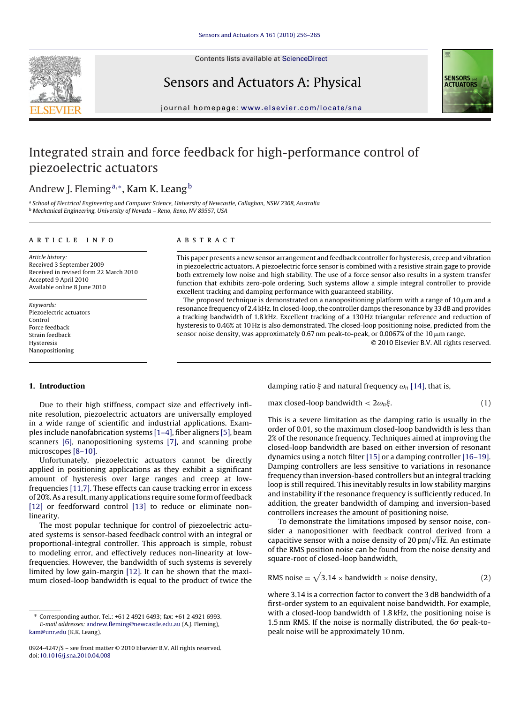Contents lists available at [ScienceDirect](http://www.sciencedirect.com/science/journal/09244247)





# Sensors and Actuators A: Physical

journal homepage: [www.elsevier.com/locate/sna](http://www.elsevier.com/locate/sna)

# Integrated strain and force feedback for high-performance control of piezoelectric actuators

# Andrew J. Fleming<sup>a,\*</sup>, Kam K. Leang<sup>b</sup>

a School of Electrical Engineering and Computer Science, University of Newcastle, Callaghan, NSW 2308, Australia <sup>b</sup> Mechanical Engineering, University of Nevada – Reno, Reno, NV 89557, USA

# article info

Article history: Received 3 September 2009 Received in revised form 22 March 2010 Accepted 9 April 2010 Available online 8 June 2010

Keywords: Piezoelectric actuators Control Force feedback Strain feedback **Hysteresis** Nanopositioning

# **ABSTRACT**

This paper presents a new sensor arrangement and feedback controller for hysteresis, creep and vibration in piezoelectric actuators. A piezoelectric force sensor is combined with a resistive strain gage to provide both extremely low noise and high stability. The use of a force sensor also results in a system transfer function that exhibits zero-pole ordering. Such systems allow a simple integral controller to provide excellent tracking and damping performance with guaranteed stability.

The proposed technique is demonstrated on a nanopositioning platform with a range of 10  $\mu$ m and a resonance frequency of 2.4 kHz. In closed-loop, the controller damps the resonance by 33 dB and provides a tracking bandwidth of 1.8 kHz. Excellent tracking of a 130 Hz triangular reference and reduction of hysteresis to 0.46% at 10 Hz is also demonstrated. The closed-loop positioning noise, predicted from the sensor noise density, was approximately 0.67 nm peak-to-peak, or 0.0067% of the 10  $\mu$ m range.

© 2010 Elsevier B.V. All rights reserved.

# **1. Introduction**

Due to their high stiffness, compact size and effectively infinite resolution, piezoelectric actuators are universally employed in a wide range of scientific and industrial applications. Examples include nanofabrication systems [\[1–4\], fi](#page-8-0)ber aligners [\[5\], b](#page-8-0)eam scanners [\[6\],](#page-8-0) nanopositioning systems [\[7\],](#page-8-0) and scanning probe microscopes [\[8–10\].](#page-8-0)

Unfortunately, piezoelectric actuators cannot be directly applied in positioning applications as they exhibit a significant amount of hysteresis over large ranges and creep at lowfrequencies [\[11,7\]. T](#page-8-0)hese effects can cause tracking error in excess of 20%. As a result,many applications require some form of feedback [\[12\]](#page-8-0) or feedforward control [\[13\]](#page-8-0) to reduce or eliminate nonlinearity.

The most popular technique for control of piezoelectric actuated systems is sensor-based feedback control with an integral or proportional-integral controller. This approach is simple, robust to modeling error, and effectively reduces non-linearity at lowfrequencies. However, the bandwidth of such systems is severely limited by low gain-margin [\[12\]. I](#page-8-0)t can be shown that the maximum closed-loop bandwidth is equal to the product of twice the damping ratio  $\xi$  and natural frequency  $\omega_n$  [\[14\], t](#page-8-0)hat is,

max closed-loop bandwidth  $< 2\omega_n \xi$ .  $\left(1\right)$ 

This is a severe limitation as the damping ratio is usually in the order of 0.01, so the maximum closed-loop bandwidth is less than 2% of the resonance frequency. Techniques aimed at improving the closed-loop bandwidth are based on either inversion of resonant dynamics using a notch filter [\[15\]](#page-8-0) or a damping controller [\[16–19\].](#page-8-0) Damping controllers are less sensitive to variations in resonance frequency than inversion-based controllers but an integral tracking loop is still required. This inevitably results in low stability margins and instability if the resonance frequency is sufficiently reduced. In addition, the greater bandwidth of damping and inversion-based controllers increases the amount of positioning noise.

To demonstrate the limitations imposed by sensor noise, consider a nanopositioner with feedback control derived from a capacitive sensor with a noise density of 20 pm/<sup>√</sup> Hz. An estimate of the RMS position noise can be found from the noise density and square-root of closed-loop bandwidth,

RMS noise = 
$$
\sqrt{3.14 \times \text{bandwidth} \times \text{noise density}}
$$
, (2)

where 3.14 is a correction factor to convert the 3 dB bandwidth of a first-order system to an equivalent noise bandwidth. For example, with a closed-loop bandwidth of 1.8 kHz, the positioning noise is 1.5 nm RMS. If the noise is normally distributed, the  $6\sigma$  peak-topeak noise will be approximately 10 nm.

<sup>∗</sup> Corresponding author. Tel.: +61 2 4921 6493; fax: +61 2 4921 6993. E-mail addresses: [andrew.fleming@newcastle.edu.au](mailto:andrew.fleming@newcastle.edu.au) (A.J. Fleming), [kam@unr.edu](mailto:kam@unr.edu) (K.K. Leang).

<sup>0924-4247/\$ –</sup> see front matter © 2010 Elsevier B.V. All rights reserved. doi:[10.1016/j.sna.2010.04.008](dx.doi.org/10.1016/j.sna.2010.04.008)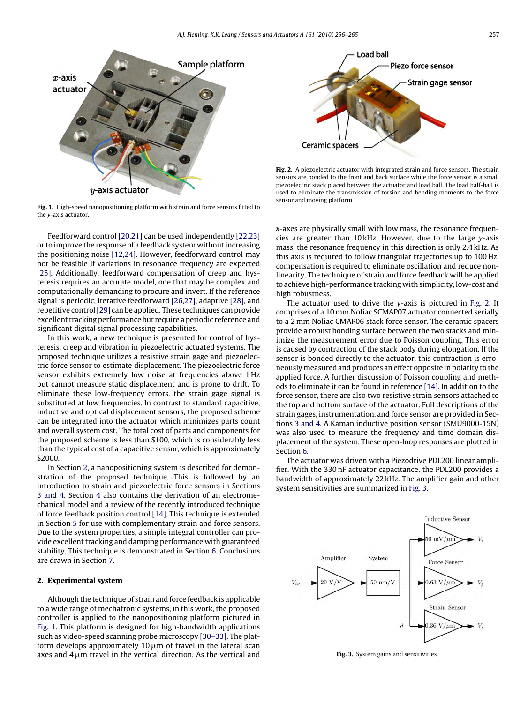<span id="page-1-0"></span>

**Fig. 1.** High-speed nanopositioning platform with strain and force sensors fitted to the y-axis actuator.

Feedforward control [\[20,21\]](#page-8-0) can be used independently [\[22,23\]](#page-8-0) or to improve the response of a feedback system without increasing the positioning noise [\[12,24\]. H](#page-8-0)owever, feedforward control may not be feasible if variations in resonance frequency are expected [\[25\].](#page-8-0) Additionally, feedforward compensation of creep and hysteresis requires an accurate model, one that may be complex and computationally demanding to procure and invert. If the reference signal is periodic, iterative feedforward [\[26,27\], a](#page-8-0)daptive [\[28\], a](#page-8-0)nd repetitive control[\[29\]](#page-8-0) can be applied. These techniques can provide excellent tracking performance but require a periodic reference and significant digital signal processing capabilities.

In this work, a new technique is presented for control of hysteresis, creep and vibration in piezoelectric actuated systems. The proposed technique utilizes a resistive strain gage and piezoelectric force sensor to estimate displacement. The piezoelectric force sensor exhibits extremely low noise at frequencies above 1 Hz but cannot measure static displacement and is prone to drift. To eliminate these low-frequency errors, the strain gage signal is substituted at low frequencies. In contrast to standard capacitive, inductive and optical displacement sensors, the proposed scheme can be integrated into the actuator which minimizes parts count and overall system cost. The total cost of parts and components for the proposed scheme is less than \$100, which is considerably less than the typical cost of a capacitive sensor, which is approximately \$2000.

In Section 2, a nanopositioning system is described for demonstration of the proposed technique. This is followed by an introduction to strain and piezoelectric force sensors in Sections [3 and 4.](#page-2-0) Section [4](#page-2-0) also contains the derivation of an electromechanical model and a review of the recently introduced technique of force feedback position control [\[14\]. T](#page-8-0)his technique is extended in Section [5](#page-5-0) for use with complementary strain and force sensors. Due to the system properties, a simple integral controller can provide excellent tracking and damping performance with guaranteed stability. This technique is demonstrated in Section [6. C](#page-7-0)onclusions are drawn in Section [7.](#page-7-0)

# **2. Experimental system**

Although the technique of strain and force feedback is applicable to a wide range of mechatronic systems, in this work, the proposed controller is applied to the nanopositioning platform pictured in Fig. 1. This platform is designed for high-bandwidth applications such as video-speed scanning probe microscopy [\[30–33\]. T](#page-8-0)he platform develops approximately 10  $\mu$ m of travel in the lateral scan axes and 4  $\upmu$ m travel in the vertical direction. As the vertical and



**Fig. 2.** A piezoelectric actuator with integrated strain and force sensors. The strain sensors are bonded to the front and back surface while the force sensor is a small piezoelectric stack placed between the actuator and load ball. The load half-ball is used to eliminate the transmission of torsion and bending moments to the force sensor and moving platform.

x-axes are physically small with low mass, the resonance frequencies are greater than 10 kHz. However, due to the large y-axis mass, the resonance frequency in this direction is only 2.4 kHz. As this axis is required to follow triangular trajectories up to 100 Hz, compensation is required to eliminate oscillation and reduce nonlinearity. The technique of strain and force feedback will be applied to achieve high-performance tracking with simplicity, low-cost and high robustness.

The actuator used to drive the y-axis is pictured in Fig. 2. It comprises of a 10 mm Noliac SCMAP07 actuator connected serially to a 2 mm Noliac CMAP06 stack force sensor. The ceramic spacers provide a robust bonding surface between the two stacks and minimize the measurement error due to Poisson coupling. This error is caused by contraction of the stack body during elongation. If the sensor is bonded directly to the actuator, this contraction is erroneously measured and produces an effect opposite in polarity to the applied force. A further discussion of Poisson coupling and methods to eliminate it can be found in reference [\[14\]. I](#page-8-0)n addition to the force sensor, there are also two resistive strain sensors attached to the top and bottom surface of the actuator. Full descriptions of the strain gages, instrumentation, and force sensor are provided in Sections [3 and 4. A](#page-2-0) Kaman inductive position sensor (SMU9000-15N) was also used to measure the frequency and time domain displacement of the system. These open-loop responses are plotted in Section [6.](#page-7-0)

The actuator was driven with a Piezodrive PDL200 linear amplifier. With the 330 nF actuator capacitance, the PDL200 provides a bandwidth of approximately 22 kHz. The amplifier gain and other system sensitivities are summarized in Fig. 3.



**Fig. 3.** System gains and sensitivities.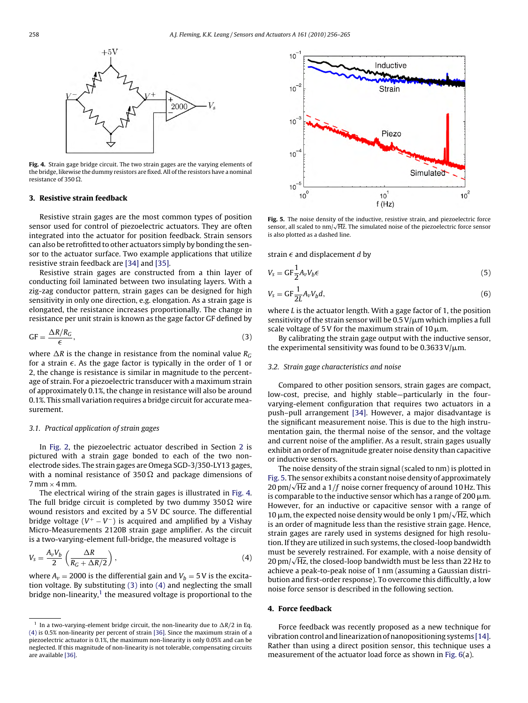<span id="page-2-0"></span>

**Fig. 4.** Strain gage bridge circuit. The two strain gages are the varying elements of the bridge, likewise the dummy resistors are fixed. All of the resistors have a nominal resistance of 350  $\Omega$ .

### **3. Resistive strain feedback**

Resistive strain gages are the most common types of position sensor used for control of piezoelectric actuators. They are often integrated into the actuator for position feedback. Strain sensors can also be retrofitted to other actuators simply by bonding the sensor to the actuator surface. Two example applications that utilize resistive strain feedback are [\[34\]](#page-8-0) and [\[35\].](#page-8-0)

Resistive strain gages are constructed from a thin layer of conducting foil laminated between two insulating layers. With a zig-zag conductor pattern, strain gages can be designed for high sensitivity in only one direction, e.g. elongation. As a strain gage is elongated, the resistance increases proportionally. The change in resistance per unit strain is known as the gage factor GF defined by

$$
GF = \frac{\Delta R/R_G}{\epsilon},\tag{3}
$$

where  $\Delta R$  is the change in resistance from the nominal value  $R_G$ for a strain  $\epsilon$ . As the gage factor is typically in the order of 1 or 2, the change is resistance is similar in magnitude to the percentage of strain. For a piezoelectric transducer with a maximum strain of approximately 0.1%, the change in resistance will also be around 0.1%. This small variation requires a bridge circuit for accurate measurement.

#### 3.1. Practical application of strain gages

In [Fig. 2,](#page-1-0) the piezoelectric actuator described in Section [2](#page-1-0) is pictured with a strain gage bonded to each of the two nonelectrode sides. The strain gages are Omega SGD-3/350-LY13 gages, with a nominal resistance of 350  $\Omega$  and package dimensions of  $7 \text{ mm} \times 4 \text{ mm}$ .

The electrical wiring of the strain gages is illustrated in Fig. 4. The full bridge circuit is completed by two dummy 350  $\Omega$  wire wound resistors and excited by a 5 V DC source. The differential bridge voltage ( $V^+ - V^-$ ) is acquired and amplified by a Vishay Micro-Measurements 2120B strain gage amplifier. As the circuit is a two-varying-element full-bridge, the measured voltage is

$$
V_s = \frac{A_v V_b}{2} \left( \frac{\Delta R}{R_G + \Delta R/2} \right),\tag{4}
$$

where  $A_v = 2000$  is the differential gain and  $V_b = 5$  V is the excitation voltage. By substituting (3) into (4) and neglecting the small bridge non-linearity, $1$  the measured voltage is proportional to the



**Fig. 5.** The noise density of the inductive, resistive strain, and piezoelectric force sensor, all scaled to nm/<sup>√</sup> Hz. The simulated noise of the piezoelectric force sensor is also plotted as a dashed line.

strain  $\epsilon$  and displacement d by

$$
V_s = \mathsf{GF} \frac{1}{2} A_v V_b \epsilon \tag{5}
$$

$$
V_s = \mathsf{GF} \frac{1}{2L} A_v V_b d,\tag{6}
$$

where L is the actuator length. With a gage factor of 1, the position sensitivity of the strain sensor will be 0.5 V/ $\mu$ m which implies a full scale voltage of 5 V for the maximum strain of 10  $\mu$ m.

By calibrating the strain gage output with the inductive sensor, the experimental sensitivity was found to be 0.3633 V/ $\mu$ m.

#### 3.2. Strain gage characteristics and noise

Compared to other position sensors, strain gages are compact, low-cost, precise, and highly stable—particularly in the fourvarying-element configuration that requires two actuators in a push–pull arrangement [\[34\].](#page-8-0) However, a major disadvantage is the significant measurement noise. This is due to the high instrumentation gain, the thermal noise of the sensor, and the voltage and current noise of the amplifier. As a result, strain gages usually exhibit an order of magnitude greater noise density than capacitive or inductive sensors.

The noise density of the strain signal (scaled to nm) is plotted in Fig. 5. The sensor exhibits a constant noise density of approximately 20 pm/<sup>√</sup> Hz and a 1/f noise corner frequency of around 10 Hz. This is comparable to the inductive sensor which has a range of 200  $\rm \mu m$ . However, for an inductive or capacitive sensor with a range of 10  $\mu$ m, the expected noise density would be only 1  $\mu$ m/ $\sqrt{Hz}$ , which is an order of magnitude less than the resistive strain gage. Hence, strain gages are rarely used in systems designed for high resolution. If they are utilized in such systems, the closed-loop bandwidth must be severely restrained. For example, with a noise density of 20 pm/<sup>√</sup> Hz, the closed-loop bandwidth must be less than 22 Hz to achieve a peak-to-peak noise of 1 nm (assuming a Gaussian distribution and first-order response). To overcome this difficultly, a low noise force sensor is described in the following section.

#### **4. Force feedback**

Force feedback was recently proposed as a new technique for vibration control and linearization of nanopositioning systems [\[14\].](#page-8-0) Rather than using a direct position sensor, this technique uses a measurement of the actuator load force as shown in [Fig. 6\(a](#page-3-0)).

<sup>&</sup>lt;sup>1</sup> In a two-varying-element bridge circuit, the non-linearity due to  $\Delta R/2$  in Eq. (4) is 0.5% non-linearity per percent of strain [\[36\]. S](#page-8-0)ince the maximum strain of a piezoelectric actuator is 0.1%, the maximum non-linearity is only 0.05% and can be neglected. If this magnitude of non-linearity is not tolerable, compensating circuits are available [\[36\].](#page-8-0)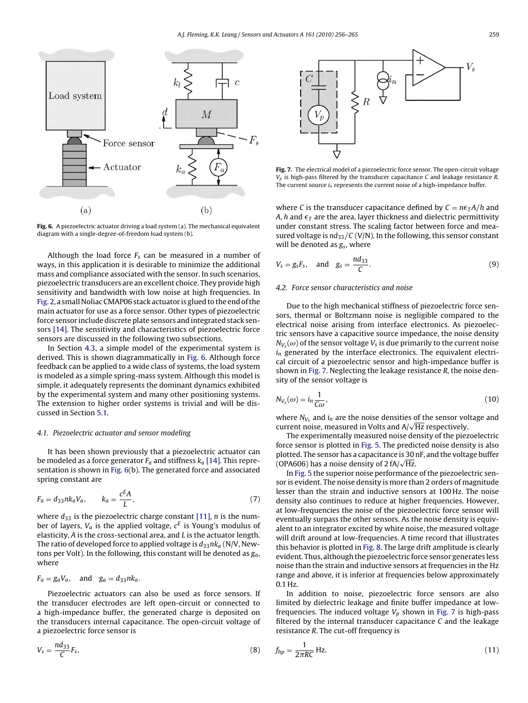<span id="page-3-0"></span>

**Fig. 6.** A piezoelectric actuator driving a load system (a). The mechanical equivalent diagram with a single-degree-of-freedom load system (b).

Although the load force  $F_s$  can be measured in a number of ways, in this application it is desirable to minimize the additional mass and compliance associated with the sensor. In such scenarios, piezoelectric transducers are an excellent choice. They provide high sensitivity and bandwidth with low noise at high frequencies. In [Fig. 2, a](#page-1-0) small Noliac CMAP06 stack actuator is glued to the end of the main actuator for use as a force sensor. Other types of piezoelectric force sensor include discrete plate sensors and integrated stack sensors [\[14\]. T](#page-8-0)he sensitivity and characteristics of piezoelectric force sensors are discussed in the following two subsections.

In Section [4.3,](#page-4-0) a simple model of the experimental system is derived. This is shown diagrammatically in Fig. 6. Although force feedback can be applied to a wide class of systems, the load system is modeled as a simple spring-mass system. Although this model is simple, it adequately represents the dominant dynamics exhibited by the experimental system and many other positioning systems. The extension to higher order systems is trivial and will be discussed in Section [5.1.](#page-6-0)

### 4.1. Piezoelectric actuator and sensor modeling

It has been shown previously that a piezoelectric actuator can be modeled as a force generator  $F_a$  and stiffness  $k_a$  [\[14\]. T](#page-8-0)his representation is shown in Fig. 6(b). The generated force and associated spring constant are

$$
F_a = d_{33}nk_aV_a, \qquad k_a = \frac{c^E A}{L}, \qquad (7)
$$

where  $d_{33}$  is the piezoelectric charge constant [\[11\],](#page-8-0) *n* is the number of layers,  $V_a$  is the applied voltage,  $c^E$  is Young's modulus of elasticity, A is the cross-sectional area, and L is the actuator length. The ratio of developed force to applied voltage is  $d_{33}nk_a$  (N/V, Newtons per Volt). In the following, this constant will be denoted as  $g_a$ , where

$$
F_a = g_a V_a, \quad \text{and} \quad g_a = d_{33} n k_a.
$$

Piezoelectric actuators can also be used as force sensors. If the transducer electrodes are left open-circuit or connected to a high-impedance buffer, the generated charge is deposited on the transducers internal capacitance. The open-circuit voltage of a piezoelectric force sensor is

$$
V_s = \frac{nd_{33}}{C} F_s,\tag{8}
$$



**Fig. 7.** The electrical model of a piezoelectric force sensor. The open-circuit voltage  $V_p$  is high-pass filtered by the transducer capacitance C and leakage resistance R. The current source  $i_n$  represents the current noise of a high-impedance buffer.

where C is the transducer capacitance defined by  $C = n\epsilon_T A/h$  and A, h and  $\epsilon_T$  are the area, layer thickness and dielectric permittivity under constant stress. The scaling factor between force and measured voltage is  $nd_{33}/C$  (V/N). In the following, this sensor constant will be denoted as  $g_s$ , where

$$
V_s = g_s F_s, \quad \text{and} \quad g_s = \frac{n d_{33}}{C}.
$$

# 4.2. Force sensor characteristics and noise

Due to the high mechanical stiffness of piezoelectric force sensors, thermal or Boltzmann noise is negligible compared to the electrical noise arising from interface electronics. As piezoelectric sensors have a capacitive source impedance, the noise density  $N_{V_s}(\omega)$  of the sensor voltage  $V_s$  is due primarily to the current noise  $i_n$  generated by the interface electronics. The equivalent electrical circuit of a piezoelectric sensor and high-impedance buffer is shown in Fig. 7. Neglecting the leakage resistance R, the noise density of the sensor voltage is

$$
N_{V_s}(\omega) = i_n \frac{1}{C\omega},\tag{10}
$$

where  $N_{V_s}$  and  $i_n$  are the noise densities of the sensor voltage and current noise, measured in Volts and  $A/\sqrt{Hz}$  respectively.

The experimentally measured noise density of the piezoelectric force sensor is plotted in [Fig. 5. T](#page-2-0)he predicted noise density is also plotted. The sensor has a capacitance is 30 nF, and the voltage buffer (OPA606) has a noise density of  $2 fA/\sqrt{Hz}$ .

In [Fig. 5](#page-2-0) the superior noise performance of the piezoelectric sensor is evident. The noise density is more than 2 orders of magnitude lesser than the strain and inductive sensors at 100 Hz. The noise density also continues to reduce at higher frequencies. However, at low-frequencies the noise of the piezoelectric force sensor will eventually surpass the other sensors. As the noise density is equivalent to an integrator excited by white noise, the measured voltage will drift around at low-frequencies. A time record that illustrates this behavior is plotted in [Fig. 8. T](#page-4-0)he large drift amplitude is clearly evident. Thus, although the piezoelectric force sensor generates less noise than the strain and inductive sensors at frequencies in the Hz range and above, it is inferior at frequencies below approximately 0.1 Hz.

In addition to noise, piezoelectric force sensors are also limited by dielectric leakage and finite buffer impedance at lowfrequencies. The induced voltage  $V_p$  shown in Fig. 7 is high-pass filtered by the internal transducer capacitance  $C$  and the leakage resistance R. The cut-off frequency is

$$
f_{hp} = \frac{1}{2\pi RC} Hz.
$$
\n(11)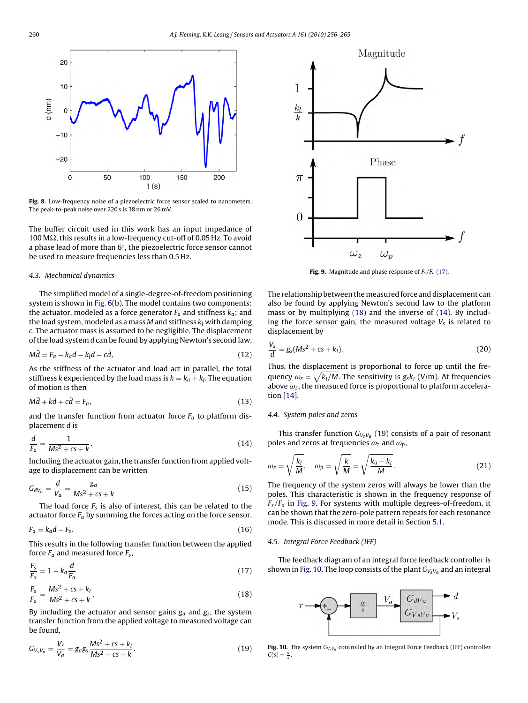<span id="page-4-0"></span>

**Fig. 8.** Low-frequency noise of a piezoelectric force sensor scaled to nanometers. The peak-to-peak noise over 220 s is 38 nm or 26 mV.

The buffer circuit used in this work has an input impedance of 100 M $\Omega$ , this results in a low-frequency cut-off of 0.05 Hz. To avoid a phase lead of more than 6◦, the piezoelectric force sensor cannot be used to measure frequencies less than 0.5 Hz.

#### 4.3. Mechanical dynamics

The simplified model of a single-degree-of-freedom positioning system is shown in [Fig. 6\(b](#page-3-0)). The model contains two components: the actuator, modeled as a force generator  $F_a$  and stiffness  $k_a$ ; and the load system, modeled as a mass M and stiffness  $k_l$  with damping c. The actuator mass is assumed to be negligible. The displacement of the load system d can be found by applying Newton's second law,

$$
M\ddot{d} = F_a - k_a d - k_l d - c\dot{d},\qquad(12)
$$

As the stiffness of the actuator and load act in parallel, the total stiffness k experienced by the load mass is  $k = k_a + k_l$ . The equation of motion is then

$$
M\ddot{d} + kd + c\dot{d} = F_a,\tag{13}
$$

and the transfer function from actuator force  $F_a$  to platform displacement d is

$$
\frac{d}{F_a} = \frac{1}{Ms^2 + cs + k}.
$$
\n(14)

Including the actuator gain, the transfer function from applied voltage to displacement can be written

$$
G_{dV_a} = \frac{d}{V_a} = \frac{g_a}{Ms^2 + cs + k} \tag{15}
$$

The load force  $F_s$  is also of interest, this can be related to the actuator force  $F_a$  by summing the forces acting on the force sensor,

$$
F_a = k_a d - F_s. \tag{16}
$$

This results in the following transfer function between the applied force  $F_a$  and measured force  $F_s$ ,

$$
\frac{F_s}{F_a} = 1 - k_a \frac{d}{F_a} \tag{17}
$$

$$
\frac{F_s}{F_a} = \frac{Ms^2 + cs + k_l}{Ms^2 + cs + k}.
$$
\n(18)

By including the actuator and sensor gains  $g_a$  and  $g_s$ , the system transfer function from the applied voltage to measured voltage can be found,

$$
G_{V_S V_a} = \frac{V_S}{V_a} = g_a g_s \frac{Ms^2 + cs + k_l}{Ms^2 + cs + k}.
$$
\n(19)



**Fig. 9.** Magnitude and phase response of  $F_s/F_a$  (17).

The relationship between the measured force and displacement can also be found by applying Newton's second law to the platform mass or by multiplying (18) and the inverse of (14). By including the force sensor gain, the measured voltage  $V_s$  is related to displacement by

$$
\frac{V_s}{d} = g_s(Ms^2 + cs + k_l). \tag{20}
$$

Thus, the displacement is proportional to force up until the frequency  $\omega_z = \sqrt{k_l/M}$ . The sensitivity is  $g_s k_l$  (V/m). At frequencies above  $\omega_z$ , the measured force is proportional to platform acceleration [\[14\].](#page-8-0)

### 4.4. System poles and zeros

This transfer function  $G_{V_S V_a}$  (19) consists of a pair of resonant poles and zeros at frequencies  $\omega_z$  and  $\omega_p$ ,

$$
\omega_z = \sqrt{\frac{k_l}{M}}, \quad \omega_p = \sqrt{\frac{k}{M}} = \sqrt{\frac{k_a + k_l}{M}}.
$$
\n(21)

The frequency of the system zeros will always be lower than the poles. This characteristic is shown in the frequency response of  $F_s/F_a$  in Fig. 9. For systems with multiple degrees-of-freedom, it can be shown that the zero-pole pattern repeats for each resonance mode. This is discussed in more detail in Section [5.1.](#page-6-0)

#### 4.5. Integral Force Feedback (IFF)

The feedback diagram of an integral force feedback controller is shown in Fig. 10. The loop consists of the plant  $G_{V_5V_a}$  and an integral



Fig. 10. The system  $G_{V_S V_a}$  controlled by an Integral Force Feedback (IFF) controller  $C(s) = \frac{\alpha}{s}$ .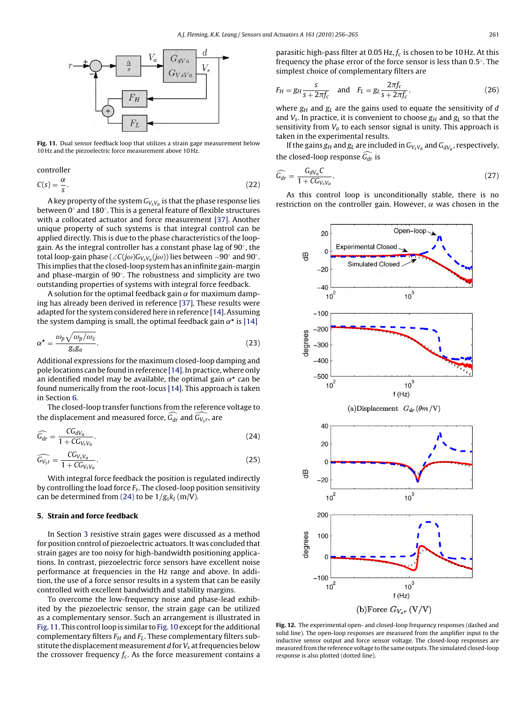<span id="page-5-0"></span>

**Fig. 11.** Dual sensor feedback loop that utilizes a strain gage measurement below 10 Hz and the piezoelectric force measurement above 10 Hz.

controller

$$
C(s) = \frac{\alpha}{s}.\tag{22}
$$

A key property of the system  $G_{V_sV_a}$  is that the phase response lies between 0◦ and 180◦. This is a general feature of flexible structures with a collocated actuator and force measurement [\[37\].](#page-8-0) Another unique property of such systems is that integral control can be applied directly. This is due to the phase characteristics of the loopgain. As the integral controller has a constant phase lag of 90◦, the total loop-gain phase (∠C(jω)G<sub>VsVa</sub>(jω)) lies between –90° and 90°. This implies that the closed-loop system has an infinite gain-margin and phase-margin of 90◦. The robustness and simplicity are two outstanding properties of systems with integral force feedback.

A solution for the optimal feedback gain  $\alpha$  for maximum damping has already been derived in reference [\[37\]. T](#page-8-0)hese results were adapted for the system considered here in reference [\[14\]. A](#page-8-0)ssuming the system damping is small, the optimal feedback gain  $\alpha^*$  is [\[14\]](#page-8-0)

$$
\alpha^* = \frac{\omega_p \sqrt{\omega_p/\omega_z}}{g_s g_a}.
$$
\n(23)

Additional expressions for the maximum closed-loop damping and pole locations can be found in reference [\[14\]. I](#page-8-0)n practice, where only an identified model may be available, the optimal gain  $\alpha^*$  can be found numerically from the root-locus [\[14\]. T](#page-8-0)his approach is taken in Section [6.](#page-7-0)

The closed-loop transfer functions from the reference voltage to the displacement and measured force,  $G_{dr}$  and  $G_{V_{\mathrm{s}}r}$ , are

$$
\widehat{G_{dr}} = \frac{CG_{dV_a}}{1 + CG_{V_sV_a}}.\tag{24}
$$

$$
\widehat{G_{V_s r}} = \frac{CG_{V_s V_a}}{1 + CG_{V_s V_a}}.\tag{25}
$$

With integral force feedback the position is regulated indirectly by controlling the load force  $F_s$ . The closed-loop position sensitivity can be determined from (24) to be  $1/g_s k_l$  (m/V).

#### **5. Strain and force feedback**

In Section [3](#page-2-0) resistive strain gages were discussed as a method for position control of piezoelectric actuators. It was concluded that strain gages are too noisy for high-bandwidth positioning applications. In contrast, piezoelectric force sensors have excellent noise performance at frequencies in the Hz range and above. In addition, the use of a force sensor results in a system that can be easily controlled with excellent bandwidth and stability margins.

To overcome the low-frequency noise and phase-lead exhibited by the piezoelectric sensor, the strain gage can be utilized as a complementary sensor. Such an arrangement is illustrated in Fig. 11. This control loop is similar to [Fig. 10](#page-4-0) except for the additional complementary filters  $F_H$  and  $F_L$ . These complementary filters substitute the displacement measurement  $d$  for  $V_s$  at frequencies below the crossover frequency  $f_c$ . As the force measurement contains a parasitic high-pass filter at 0.05 Hz,  $f_c$  is chosen to be 10 Hz. At this frequency the phase error of the force sensor is less than 0.5◦. The simplest choice of complementary filters are

$$
F_H = g_H \frac{s}{s + 2\pi f_c} \quad \text{and} \quad F_L = g_L \frac{2\pi f_c}{s + 2\pi f_c}.
$$
 (26)

where  $g_H$  and  $g_L$  are the gains used to equate the sensitivity of d and  $V_s$ . In practice, it is convenient to choose  $g_H$  and  $g_L$  so that the sensitivity from  $V_a$  to each sensor signal is unity. This approach is taken in the experimental results.

If the gains  $g_H$  and  $g_L$  are included in  $G_{VsV_a}$  and  $G_{dV_a}$ , respectively, the closed-loop response  $G_{dr}$  is

$$
\widehat{G_{dr}} = \frac{G_{dV_a}C}{1 + CG_{V_sV_a}}.\tag{27}
$$

As this control loop is unconditionally stable, there is no restriction on the controller gain. However,  $\alpha$  was chosen in the



**Fig. 12.** The experimental open- and closed-loop frequency responses (dashed and solid line). The open-loop responses are measured from the amplifier input to the inductive sensor output and force sensor voltage. The closed-loop responses are measured from the reference voltage to the same outputs. The simulated closed-loop response is also plotted (dotted line).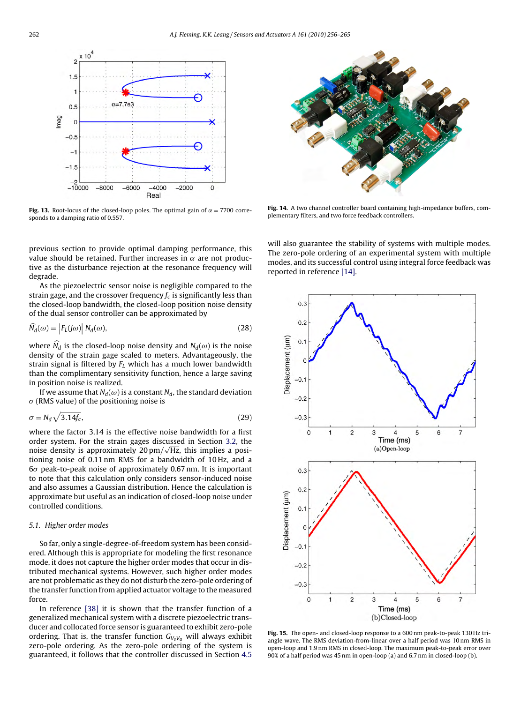<span id="page-6-0"></span>

**Fig. 13.** Root-locus of the closed-loop poles. The optimal gain of  $\alpha = 7700$  corresponds to a damping ratio of 0.557.

previous section to provide optimal damping performance, this value should be retained. Further increases in  $\alpha$  are not productive as the disturbance rejection at the resonance frequency will degrade.

As the piezoelectric sensor noise is negligible compared to the strain gage, and the crossover frequency  $f_c$  is significantly less than the closed-loop bandwidth, the closed-loop position noise density of the dual sensor controller can be approximated by

$$
\widehat{N}_d(\omega) = \left| F_L(j\omega) \right| N_d(\omega),\tag{28}
$$

where  $\widehat{N_d}$  is the closed-loop noise density and  $N_d(\omega)$  is the noise density of the strain gage scaled to meters. Advantageously, the strain signal is filtered by  $F<sub>L</sub>$  which has a much lower bandwidth than the complimentary sensitivity function, hence a large saving in position noise is realized.

If we assume that  $N_d(\omega)$  is a constant  $N_d$ , the standard deviation  $\sigma$  (RMS value) of the positioning noise is

$$
\sigma = N_d \sqrt{3.14 f_c},\tag{29}
$$

where the factor 3.14 is the effective noise bandwidth for a first order system. For the strain gages discussed in Section [3.2,](#page-2-0) the noise density is approximately  $20 \text{ pm} / \sqrt{\text{Hz}}$ , this implies a positioning noise of 0.11 nm RMS for a bandwidth of 10 Hz, and a  $6\sigma$  peak-to-peak noise of approximately 0.67 nm. It is important to note that this calculation only considers sensor-induced noise and also assumes a Gaussian distribution. Hence the calculation is approximate but useful as an indication of closed-loop noise under controlled conditions.

### 5.1. Higher order modes

So far, only a single-degree-of-freedom system has been considered. Although this is appropriate for modeling the first resonance mode, it does not capture the higher order modes that occur in distributed mechanical systems. However, such higher order modes are not problematic as they do not disturb the zero-pole ordering of the transfer function from applied actuator voltage to the measured force.

In reference [\[38\]](#page-8-0) it is shown that the transfer function of a generalized mechanical system with a discrete piezoelectric transducer and collocated force sensor is guaranteed to exhibit zero-pole ordering. That is, the transfer function  $G_{V_sV_a}$  will always exhibit zero-pole ordering. As the zero-pole ordering of the system is guaranteed, it follows that the controller discussed in Section [4.5](#page-4-0)



**Fig. 14.** A two channel controller board containing high-impedance buffers, complementary filters, and two force feedback controllers.

will also guarantee the stability of systems with multiple modes. The zero-pole ordering of an experimental system with multiple modes, and its successful control using integral force feedback was reported in reference [\[14\].](#page-8-0)



**Fig. 15.** The open- and closed-loop response to a 600 nm peak-to-peak 130 Hz triangle wave. The RMS deviation-from-linear over a half period was 10 nm RMS in open-loop and 1.9 nm RMS in closed-loop. The maximum peak-to-peak error over 90% of a half period was 45 nm in open-loop (a) and 6.7 nm in closed-loop (b).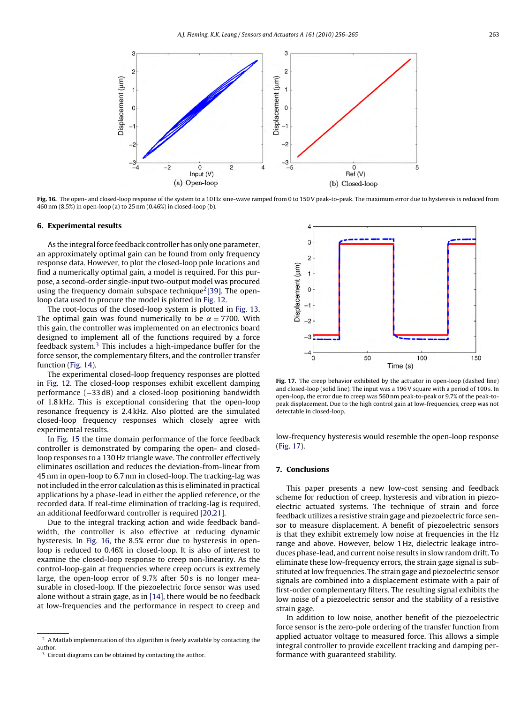<span id="page-7-0"></span>

**Fig. 16.** The open- and closed-loop response of the system to a 10 Hz sine-wave ramped from 0 to 150 V peak-to-peak. The maximum error due to hysteresis is reduced from 460 nm (8.5%) in open-loop (a) to 25 nm (0.46%) in closed-loop (b).

#### **6. Experimental results**

As the integral force feedback controller has only one parameter, an approximately optimal gain can be found from only frequency response data. However, to plot the closed-loop pole locations and find a numerically optimal gain, a model is required. For this purpose, a second-order single-input two-output model was procured using the frequency domain subspace technique $2$ [\[39\].](#page-8-0) The openloop data used to procure the model is plotted in [Fig. 12.](#page-5-0)

The root-locus of the closed-loop system is plotted in [Fig. 13.](#page-6-0) The optimal gain was found numerically to be  $\alpha = 7700$ . With this gain, the controller was implemented on an electronics board designed to implement all of the functions required by a force feedback system.3 This includes a high-impedance buffer for the force sensor, the complementary filters, and the controller transfer function [\(Fig. 14\).](#page-6-0)

The experimental closed-loop frequency responses are plotted in [Fig. 12.](#page-5-0) The closed-loop responses exhibit excellent damping performance (-33 dB) and a closed-loop positioning bandwidth of 1.8 kHz. This is exceptional considering that the open-loop resonance frequency is 2.4 kHz. Also plotted are the simulated closed-loop frequency responses which closely agree with experimental results.

In [Fig. 15](#page-6-0) the time domain performance of the force feedback controller is demonstrated by comparing the open- and closedloop responses to a 130 Hz triangle wave. The controller effectively eliminates oscillation and reduces the deviation-from-linear from 45 nm in open-loop to 6.7 nm in closed-loop. The tracking-lag was not included in the error calculation as this is eliminated in practical applications by a phase-lead in either the applied reference, or the recorded data. If real-time elimination of tracking-lag is required, an additional feedforward controller is required [\[20,21\].](#page-8-0)

Due to the integral tracking action and wide feedback bandwidth, the controller is also effective at reducing dynamic hysteresis. In Fig. 16, the 8.5% error due to hysteresis in openloop is reduced to 0.46% in closed-loop. It is also of interest to examine the closed-loop response to creep non-linearity. As the control-loop-gain at frequencies where creep occurs is extremely large, the open-loop error of 9.7% after 50 s is no longer measurable in closed-loop. If the piezoelectric force sensor was used alone without a strain gage, as in [\[14\], t](#page-8-0)here would be no feedback at low-frequencies and the performance in respect to creep and



**Fig. 17.** The creep behavior exhibited by the actuator in open-loop (dashed line) and closed-loop (solid line). The input was a 196 V square with a period of 100 s. In open-loop, the error due to creep was 560 nm peak-to-peak or 9.7% of the peak-topeak displacement. Due to the high control gain at low-frequencies, creep was not detectable in closed-loop.

low-frequency hysteresis would resemble the open-loop response (Fig. 17).

# **7. Conclusions**

This paper presents a new low-cost sensing and feedback scheme for reduction of creep, hysteresis and vibration in piezoelectric actuated systems. The technique of strain and force feedback utilizes a resistive strain gage and piezoelectric force sensor to measure displacement. A benefit of piezoelectric sensors is that they exhibit extremely low noise at frequencies in the Hz range and above. However, below 1 Hz, dielectric leakage introduces phase-lead, and current noise results in slow random drift. To eliminate these low-frequency errors, the strain gage signal is substituted at low frequencies. The strain gage and piezoelectric sensor signals are combined into a displacement estimate with a pair of first-order complementary filters. The resulting signal exhibits the low noise of a piezoelectric sensor and the stability of a resistive strain gage.

In addition to low noise, another benefit of the piezoelectric force sensor is the zero-pole ordering of the transfer function from applied actuator voltage to measured force. This allows a simple integral controller to provide excellent tracking and damping performance with guaranteed stability.

<sup>2</sup> A Matlab implementation of this algorithm is freely available by contacting the author.

<sup>&</sup>lt;sup>3</sup> Circuit diagrams can be obtained by contacting the author.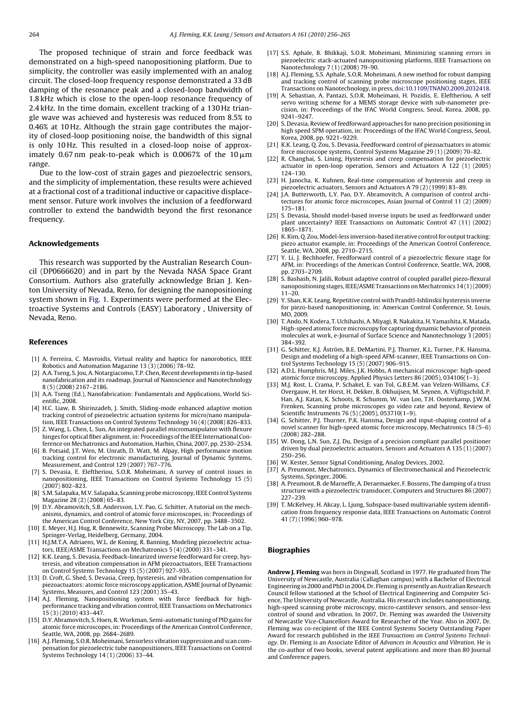<span id="page-8-0"></span>The proposed technique of strain and force feedback was demonstrated on a high-speed nanopositioning platform. Due to simplicity, the controller was easily implemented with an analog circuit. The closed-loop frequency response demonstrated a 33 dB damping of the resonance peak and a closed-loop bandwidth of 1.8 kHz which is close to the open-loop resonance frequency of 2.4 kHz. In the time domain, excellent tracking of a 130 Hz triangle wave was achieved and hysteresis was reduced from 8.5% to 0.46% at 10 Hz. Although the strain gage contributes the majority of closed-loop positioning noise, the bandwidth of this signal is only 10 Hz. This resulted in a closed-loop noise of approximately 0.67 nm peak-to-peak which is 0.0067% of the 10 $\mu$ m range.

Due to the low-cost of strain gages and piezoelectric sensors, and the simplicity of implementation, these results were achieved at a fractional cost of a traditional inductive or capacitive displacement sensor. Future work involves the inclusion of a feedforward controller to extend the bandwidth beyond the first resonance frequency.

#### **Acknowledgements**

This research was supported by the Australian Research Council (DP0666620) and in part by the Nevada NASA Space Grant Consortium. Authors also gratefully acknowledge Brian J. Kenton University of Nevada, Reno, for designing the nanopositioning system shown in [Fig. 1.](#page-1-0) Experiments were performed at the Electroactive Systems and Controls (EASY) Laboratory , University of Nevada, Reno.

#### **References**

- [1] A. Ferreira, C. Mavroidis, Virtual reality and haptics for nanorobotics, IEEE Robotics and Automation Magazine 13 (3) (2006) 78–92.
- [2] A.A. Tseng, S. Jou, A. Notargiacomo, T.P. Chen, Recent developments in tip-based nanofabrication and its roadmap, Journal of Nanoscience and Nanotechnology 8 (5) (2008) 2167–2186.
- [3] A.A. Tseng (Ed.), Nanofabrication: Fundamentals and Applications, World Scientific, 2008.
- [4] H.C. Liaw, B. Shirinzadeh, J. Smith, Sliding-mode enhanced adaptive motion tracking control of piezoelectric actuation systems for micro/nano manipulation, IEEE Transactions on Control Systems Technology 16 (4) (2008) 826–833.
- [5] Z. Wang, L. Chen, L. Sun, An integrated parallel micromanipulator with flexure hinges for optical fiber alignment, in: Proceedings of the IEEE International Conference on Mechatronics and Automation, Harbin, China, 2007, pp. 2530–2534.
- [6] B. Potsaid, J.T. Wen, M. Unrath, D. Watt, M. Alpay, High performance motion tracking control for electronic manufacturing, Journal of Dynamic Systems, Measurement, and Control 129 (2007) 767–776.
- [7] S. Devasia, E. Eleftheriou, S.O.R. Moheimani, A survey of control issues in nanopositioning, IEEE Transactions on Control Systems Technology 15 (5) (2007) 802–823.
- [8] S.M. Salapaka, M.V. Salapaka, Scanning probe microscopy, IEEE Control Systems Magazine 28 (2) (2008) 65–83.
- [9] D.Y. Abramovitch, S.B. Andersson, L.Y. Pao, G. Schitter, A tutorial on the mechanisms, dynamics, and control of atomic force microscopes, in: Proceedings of the American Control Conference, New York City, NY, 2007, pp. 3488–3502.
- [10] E. Meyer, H.J. Hug, R. Bennewitz, Scanning Probe Microscopy. The Lab on a Tip, Springer-Verlag, Heidelberg, Germany, 2004.
- [11] H.J.M.T.A. Adriaens, W.L. de Koning, R. Banning, Modeling piezoelectric actuators, IEEE/ASME Transactions on Mechatronics 5 (4) (2000) 331–341.
- [12] K.K. Leang, S. Devasia, Feedback-linearized inverse feedforward for creep, hysteresis, and vibration compensation in AFM piezoactuators, IEEE Transactions on Control Systems Technology 15 (5) (2007) 927–935.
- [13] D. Croft, G. Shed, S. Devasia, Creep, hysteresis, and vibration compensation for piezoactuators: atomic force microscopy application, ASME Journal of Dynamic Systems, Measures, and Control 123 (2001) 35–43.
- [14] A.J. Fleming, Nanopositioning system with force feedback for highperformance tracking and vibration control, IEEE Transactions on Mechatronics 15 (3) (2010) 433–447.
- [15] D.Y. Abramovitch, S. Hoen, R. Workman, Semi-automatic tuning of PID gains for atomic force microscopes, in: Proceedings of the American Control Conference, Seattle, WA, 2008, pp. 2684–2689.
- [16] A.J. Fleming, S.O.R. Moheimani, Sensorless vibration suppression and scan compensation for piezoelectric tube nanopositioners, IEEE Transactions on Control Systems Technology 14 (1) (2006) 33–44.
- [17] S.S. Aphale, B. Bhikkaji, S.O.R. Moheimani, Minimizing scanning errors in piezoelectric stack-actuated nanopositioning platforms, IEEE Transactions on Nanotechnology 7 (1) (2008) 79–90.
- [18] A.J. Fleming, S.S. Aphale, S.O.R. Moheimani, A new method for robust damping and tracking control of scanning probe microscope positioning stages, IEEE Transactions on Nanotechnology, in press, [doi:10.1109/TNANO.2009.2032418](http://dx.doi.org/10.1109/TNANO.2009.2032418).
- [19] A. Sebastian, A. Pantazi, S.O.R. Moheimani, H. Pozidis, E. Eleftheriou, A self servo writing scheme for a MEMS storage device with sub-nanometer precision, in: Proceedings of the IFAC World Congress, Seoul, Korea, 2008, pp. 9241–9247.
- [20] S. Devasia, Review of feedforward approaches for nano precision positioning in high speed SPM operation, in: Proceedings of the IFAC World Congress, Seoul, Korea, 2008, pp. 9221–9229.
- [21] K.K. Leang, Q. Zou, S. Devasia, Feedforward control of piezoactuators in atomic force microscope systems, Control Systems Magazine 29 (1) (2009) 70–82.
- [22] R. Changhai, S. Lining, Hysteresis and creep compensation for piezoelectric actuator in open-loop operation, Sensors and Actuators A 122 (1) (2005) 124–130.
- [23] H. Janocha, K. Kuhnen, Real-time compensation of hysteresis and creep in piezoelectric actuators, Sensors and Actuators A 79 (2) (1999) 83–89.
- [24] J.A. Butterworth, L.Y. Pao, D.Y. Abramovitch, A comparison of control architectures for atomic force microscopes, Asian Journal of Control 11 (2) (2009) 175–181.
- [25] S. Devasia, Should model-based inverse inputs be used as feedforward under plant uncertainty? IEEE Transactions on Automatic Control 47 (11) (2002) 1865–1871.
- [26] K. Kim, Q. Zou, Model-less inversion-based iterative control for output tracking: piezo actuator example, in: Proceedings of the American Control Conference, Seattle, WA, 2008, pp. 2710–2715.
- [27] Y. Li, J. Bechhoefer, Feedforward control of a piezoelectric flexure stage for AFM, in: Proceedings of the American Control Conference, Seattle, WA, 2008, pp. 2703–2709.
- [28] S. Bashash, N. Jalili, Robust adaptive control of coupled parallel piezo-flexural nanopositioning stages, IEEE/ASME Transactions on Mechatronics 14 (1) (2009)  $11 - 20$
- [29] Y. Shan, K.K. Leang, Repetitive control with Prandtl-Ishlinskii hysteresis inverse for piezo-based nanopositioning, in: American Control Conference, St. Louis, MO, 2009.
- [30] T. Ando, N. Kodera, T. Uchihashi, A. Miyagi, R. Nakakita, H. Yamashita, K. Matada, High-speed atomic force microscopy for capturing dynamic behavior of protein molecules at work, e-Journal of Surface Science and Nanotechnology 3 (2005) 384–392.
- [31] G. Schitter, K.J. Åström, B.E. DeMartini, P.J. Thurner, K.L. Turner, P.K. Hansma, Design and modeling of a high-speed AFM-scanner, IEEE Transactions on Control Systems Technology 15 (5) (2007) 906–915.
- [32] A.D.L. Humphris, M.J. Miles, J.K. Hobbs, A mechanical microscope: high-speed atomic force microscopy, Applied Physics Letters 86 (2005), 034106(1–3).
- [33] M.J. Rost, L. Crama, P. Schakel, E. van Tol, G.B.E.M. van Velzen-Williams, C.F. Overgauw, H. ter Horst, H. Dekker, B. Okhuijsen, M. Seynen, A. Vijftigschild, P. Han, A.J. Katan, K. Schoots, R. Schumm, W. van Loo, T.H. Oosterkamp, J.W.M. Frenken, Scanning probe microscopes go video rate and beyond, Review of Scientific Instruments 76 (5) (2005), 053710(1–9).
- [34] G. Schitter, P.J. Thurner, P.K. Hansma, Design and input-shaping control of a novel scanner for high-speed atomic force microscopy, Mechatronics 18 (5–6) (2008) 282–288.
- [35] W. Dong, L.N. Sun, Z.J. Du, Design of a precision compliant parallel positioner driven by dual piezoelectric actuators, Sensors and Actuators A 135 (1) (2007) 250–256.
- [36] W. Kester, Sensor Signal Conditioning, Analog Devices, 2002.
- [37] A. Preumont, Mechatronics, Dynamics of Electromechanical and Piezoelectric Systems, Springer, 2006.
- [38] A. Preumont, B. de Marneffe, A. Deraemaeker, F. Bossens, The damping of a truss structure with a piezoelectric transducer, Computers and Structures 86 (2007) 227–239.
- [39] T. McKelvey, H. Akcay, L. Ljung, Subspace-based multivariable system identification from frequency response data, IEEE Transactions on Automatic Control 41 (7) (1996) 960–978.

# **Biographies**

**Andrew J. Fleming** was born in Dingwall, Scotland in 1977. He graduated from The University of Newcastle, Australia (Callaghan campus) with a Bachelor of Electrical Engineering in 2000 and PhD in 2004. Dr. Fleming is presently an Australian Research Council fellow stationed at the School of Electrical Engineering and Computer Science, The University of Newcastle, Australia. His research includes nanopositioning, high-speed scanning probe microscopy, micro-cantilever sensors, and sensor-less control of sound and vibration. In 2007, Dr. Fleming was awarded the University of Newcastle Vice-Chancellors Award for Researcher of the Year. Also in 2007, Dr. Fleming was co-recipient of the IEEE Control Systems Society Outstanding Paper Award for research published in the IEEE Transactions on Control Systems Technology. Dr. Fleming is an Associate Editor of Advances in Acoustics and Vibration. He is the co-author of two books, several patent applications and more than 80 Journal and Conference papers.